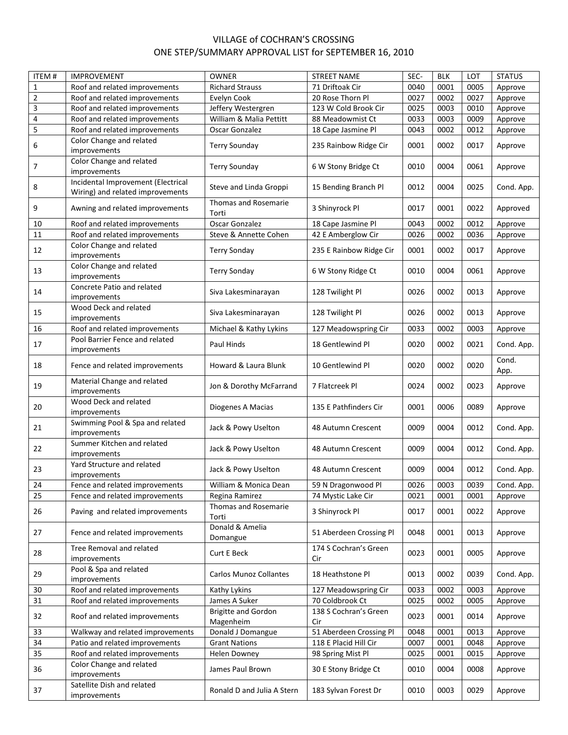## VILLAGE of COCHRAN'S CROSSING ONE STEP/SUMMARY APPROVAL LIST for SEPTEMBER 16, 2010

| <b>ITEM#</b>   | <b>IMPROVEMENT</b>                                                     | <b>OWNER</b>                            | <b>STREET NAME</b>           | SEC- | <b>BLK</b> | LOT  | <b>STATUS</b> |
|----------------|------------------------------------------------------------------------|-----------------------------------------|------------------------------|------|------------|------|---------------|
| 1              | Roof and related improvements                                          | <b>Richard Strauss</b>                  | 71 Driftoak Cir              | 0040 | 0001       | 0005 | Approve       |
| $\overline{2}$ | Roof and related improvements                                          | Evelyn Cook                             | 20 Rose Thorn Pl             | 0027 | 0002       | 0027 | Approve       |
| 3              | Roof and related improvements                                          | Jeffery Westergren                      | 123 W Cold Brook Cir         | 0025 | 0003       | 0010 | Approve       |
| 4              | Roof and related improvements                                          | William & Malia Pettitt                 | 88 Meadowmist Ct             | 0033 | 0003       | 0009 | Approve       |
| 5              | Roof and related improvements                                          | Oscar Gonzalez                          | 18 Cape Jasmine Pl           | 0043 | 0002       | 0012 | Approve       |
| 6              | Color Change and related<br>improvements                               | <b>Terry Sounday</b>                    | 235 Rainbow Ridge Cir        | 0001 | 0002       | 0017 | Approve       |
| 7              | Color Change and related<br>improvements                               | <b>Terry Sounday</b>                    | 6 W Stony Bridge Ct          | 0010 | 0004       | 0061 | Approve       |
| 8              | Incidental Improvement (Electrical<br>Wiring) and related improvements | Steve and Linda Groppi                  | 15 Bending Branch Pl         | 0012 | 0004       | 0025 | Cond. App.    |
| 9              | Awning and related improvements                                        | <b>Thomas and Rosemarie</b><br>Torti    | 3 Shinyrock Pl               | 0017 | 0001       | 0022 | Approved      |
| 10             | Roof and related improvements                                          | Oscar Gonzalez                          | 18 Cape Jasmine Pl           | 0043 | 0002       | 0012 | Approve       |
| $11\,$         | Roof and related improvements                                          | Steve & Annette Cohen                   | 42 E Amberglow Cir           | 0026 | 0002       | 0036 | Approve       |
| 12             | Color Change and related<br>improvements                               | <b>Terry Sonday</b>                     | 235 E Rainbow Ridge Cir      | 0001 | 0002       | 0017 | Approve       |
| 13             | Color Change and related<br>improvements                               | <b>Terry Sonday</b>                     | 6 W Stony Ridge Ct           | 0010 | 0004       | 0061 | Approve       |
| 14             | Concrete Patio and related<br>improvements                             | Siva Lakesminarayan                     | 128 Twilight Pl              | 0026 | 0002       | 0013 | Approve       |
| 15             | Wood Deck and related<br>improvements                                  | Siva Lakesminarayan                     | 128 Twilight Pl              | 0026 | 0002       | 0013 | Approve       |
| 16             | Roof and related improvements                                          | Michael & Kathy Lykins                  | 127 Meadowspring Cir         | 0033 | 0002       | 0003 | Approve       |
| 17             | Pool Barrier Fence and related<br>improvements                         | Paul Hinds                              | 18 Gentlewind Pl             | 0020 | 0002       | 0021 | Cond. App.    |
| 18             | Fence and related improvements                                         | Howard & Laura Blunk                    | 10 Gentlewind Pl             | 0020 | 0002       | 0020 | Cond.<br>App. |
| 19             | Material Change and related<br>improvements                            | Jon & Dorothy McFarrand                 | 7 Flatcreek Pl               | 0024 | 0002       | 0023 | Approve       |
| 20             | Wood Deck and related<br>improvements                                  | Diogenes A Macias                       | 135 E Pathfinders Cir        | 0001 | 0006       | 0089 | Approve       |
| 21             | Swimming Pool & Spa and related<br>improvements                        | Jack & Powy Uselton                     | 48 Autumn Crescent           | 0009 | 0004       | 0012 | Cond. App.    |
| 22             | Summer Kitchen and related<br>improvements                             | Jack & Powy Uselton                     | 48 Autumn Crescent           | 0009 | 0004       | 0012 | Cond. App.    |
| 23             | Yard Structure and related<br>improvements                             | Jack & Powy Uselton                     | 48 Autumn Crescent           | 0009 | 0004       | 0012 | Cond. App.    |
| 24             | Fence and related improvements                                         | William & Monica Dean                   | 59 N Dragonwood Pl           | 0026 | 0003       | 0039 | Cond. App.    |
| 25             | Fence and related improvements                                         | Regina Ramirez                          | 74 Mystic Lake Cir           | 0021 | 0001       | 0001 | Approve       |
| 26             | Paving and related improvements                                        | Thomas and Rosemarie<br>Torti           | 3 Shinyrock Pl               | 0017 | 0001       | 0022 | Approve       |
| 27             | Fence and related improvements                                         | Donald & Amelia<br>Domangue             | 51 Aberdeen Crossing Pl      | 0048 | 0001       | 0013 | Approve       |
| 28             | Tree Removal and related<br>improvements                               | Curt E Beck                             | 174 S Cochran's Green<br>Cir | 0023 | 0001       | 0005 | Approve       |
| 29             | Pool & Spa and related<br>improvements                                 | Carlos Munoz Collantes                  | 18 Heathstone Pl             | 0013 | 0002       | 0039 | Cond. App.    |
| 30             | Roof and related improvements                                          | Kathy Lykins                            | 127 Meadowspring Cir         | 0033 | 0002       | 0003 | Approve       |
| 31             | Roof and related improvements                                          | James A Suker                           | 70 Coldbrook Ct              | 0025 | 0002       | 0005 | Approve       |
| 32             | Roof and related improvements                                          | <b>Brigitte and Gordon</b><br>Magenheim | 138 S Cochran's Green<br>Cir | 0023 | 0001       | 0014 | Approve       |
| 33             | Walkway and related improvements                                       | Donald J Domangue                       | 51 Aberdeen Crossing Pl      | 0048 | 0001       | 0013 | Approve       |
| 34             | Patio and related improvements                                         | <b>Grant Nations</b>                    | 118 E Placid Hill Cir        | 0007 | 0001       | 0048 | Approve       |
| 35             | Roof and related improvements                                          | <b>Helen Downey</b>                     | 98 Spring Mist Pl            | 0025 | 0001       | 0015 | Approve       |
| 36             | Color Change and related<br>improvements                               | James Paul Brown                        | 30 E Stony Bridge Ct         | 0010 | 0004       | 0008 | Approve       |
| 37             | Satellite Dish and related<br>improvements                             | Ronald D and Julia A Stern              | 183 Sylvan Forest Dr         | 0010 | 0003       | 0029 | Approve       |